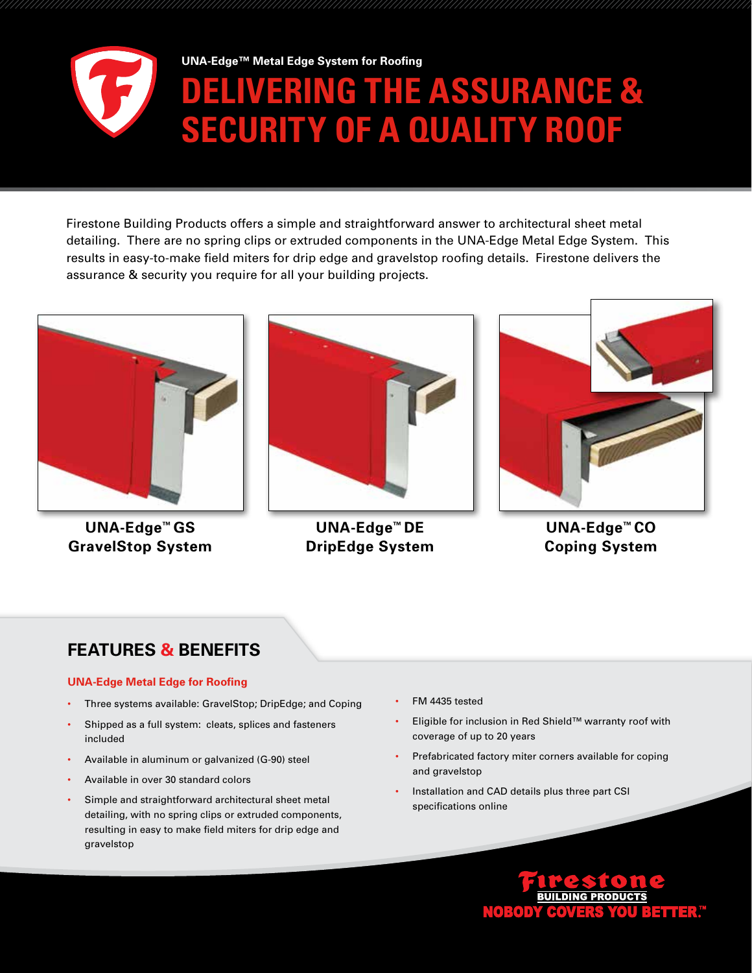

**ERING THE ASSURANCE & SECURITY OF A QUALITY ROOF UNA-Edge™ Metal Edge System for Roofing**

Firestone Building Products offers a simple and straightforward answer to architectural sheet metal detailing. There are no spring clips or extruded components in the UNA-Edge Metal Edge System. This results in easy-to-make field miters for drip edge and gravelstop roofing details. Firestone delivers the assurance & security you require for all your building projects.



**UNA-Edge™ GS GravelStop System**



**UNA-Edge™ DE DripEdge System**



**UNA-Edge™ CO Coping System**

# **FEATURES & BENEFITS**

## **UNA-Edge Metal Edge for Roofing**

- Three systems available: GravelStop; DripEdge; and Coping
- Shipped as a full system: cleats, splices and fasteners included
- Available in aluminum or galvanized (G-90) steel
- Available in over 30 standard colors
- Simple and straightforward architectural sheet metal detailing, with no spring clips or extruded components, resulting in easy to make field miters for drip edge and gravelstop
- FM 4435 tested
- Eligible for inclusion in Red Shield™ warranty roof with coverage of up to 20 years
- Prefabricated factory miter corners available for coping and gravelstop
- Installation and CAD details plus three part CSI specifications online